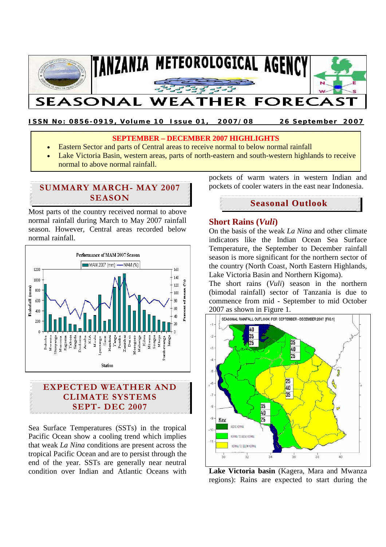

**ISSN No: 0856-0919, Volume 10 Issue 01, 2007/08 26 September 2007**

## **SEPTEMBER – DECEMBER 2007 HIGHLIGHTS**

- Eastern Sector and parts of Central areas to receive normal to below normal rainfall
- Lake Victoria Basin, western areas, parts of north-eastern and south-western highlands to receive normal to above normal rainfall.

# **SUMMARY MARCH- MAY 2007 SEASON**

Most parts of the country received normal to above normal rainfall during March to May 2007 rainfall season. However, Central areas recorded below normal rainfall.



# **EXPECTED WEATHER AND CLIMATE SYSTEMS SEPT- DEC 2007**

Sea Surface Temperatures (SSTs) in the tropical Pacific Ocean show a cooling trend which implies that weak *La Nina* conditions are present across the tropical Pacific Ocean and are to persist through the end of the year. SSTs are generally near neutral condition over Indian and Atlantic Oceans with pockets of warm waters in western Indian and pockets of cooler waters in the east near Indonesia.

# **Seasonal Outlook**

## **Short Rains (***Vuli***)**

On the basis of the weak *La Nina* and other climate indicators like the Indian Ocean Sea Surface Temperature, the September to December rainfall season is more significant for the northern sector of the country (North Coast, North Eastern Highlands, Lake Victoria Basin and Northern Kigoma).

The short rains (*Vuli*) season in the northern (bimodal rainfall) sector of Tanzania is due to commence from mid - September to mid October 2007 as shown in Figure 1.



**Lake Victoria basin** (Kagera, Mara and Mwanza regions): Rains are expected to start during the